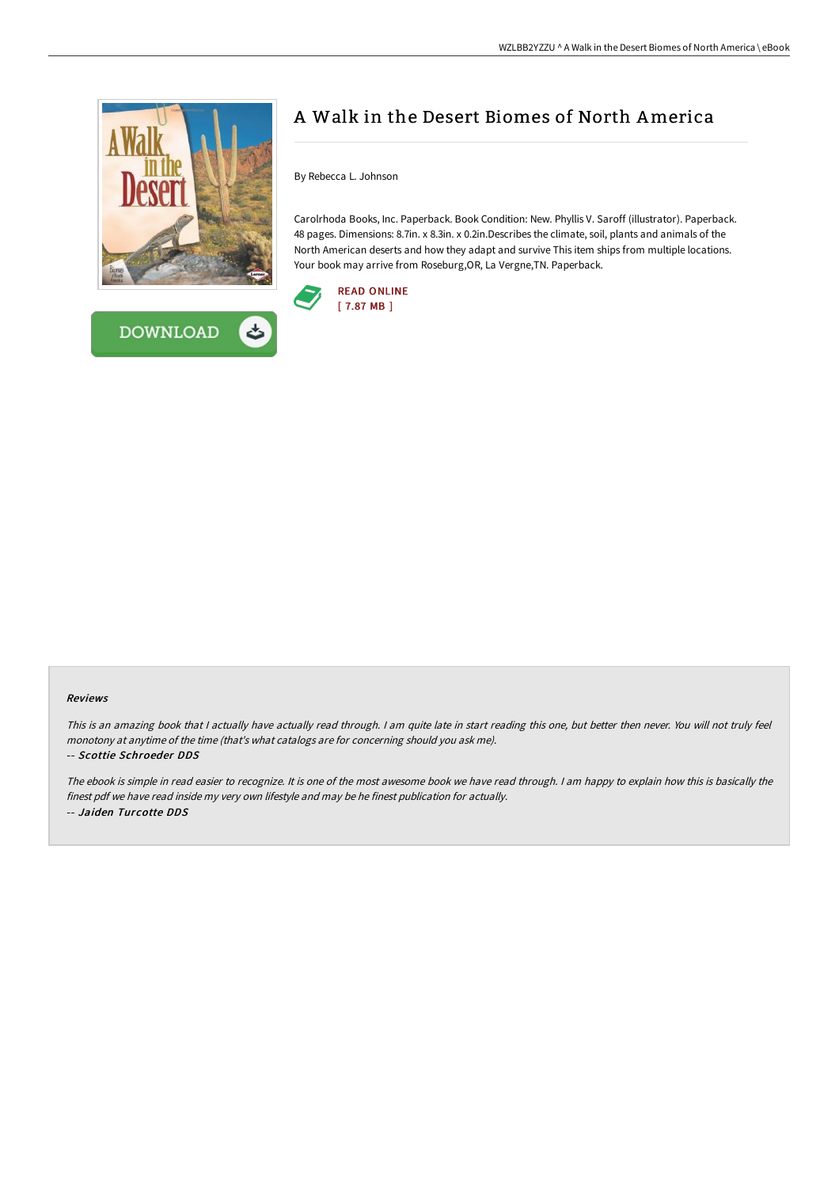



# A Walk in the Desert Biomes of North America

By Rebecca L. Johnson

Carolrhoda Books, Inc. Paperback. Book Condition: New. Phyllis V. Saroff (illustrator). Paperback. 48 pages. Dimensions: 8.7in. x 8.3in. x 0.2in.Describes the climate, soil, plants and animals of the North American deserts and how they adapt and survive This item ships from multiple locations. Your book may arrive from Roseburg,OR, La Vergne,TN. Paperback.



## Reviews

This is an amazing book that <sup>I</sup> actually have actually read through. <sup>I</sup> am quite late in start reading this one, but better then never. You will not truly feel monotony at anytime of the time (that's what catalogs are for concerning should you ask me).

#### -- Scottie Schroeder DDS

The ebook is simple in read easier to recognize. It is one of the most awesome book we have read through. <sup>I</sup> am happy to explain how this is basically the finest pdf we have read inside my very own lifestyle and may be he finest publication for actually. -- Jaiden Turcotte DDS